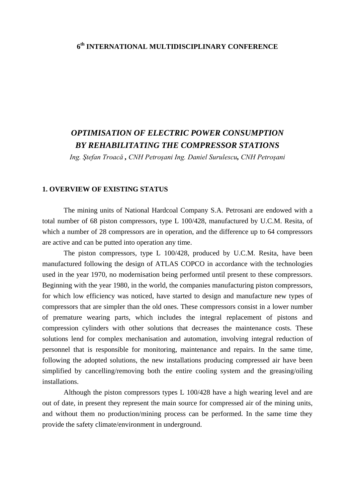### **6th INTERNATIONAL MULTIDISCIPLINARY CONFERENCE**

# *OPTIMISATION OF ELECTRIC POWER CONSUMPTION BY REHABILITATING THE COMPRESSOR STATIONS*

*Ing. Ştefan Troacă , CNH Petroşani Ing. Daniel Surulescu, CNH Petroşani*

#### **1. OVERVIEW OF EXISTING STATUS**

The mining units of National Hardcoal Company S.A. Petrosani are endowed with a total number of 68 piston compressors, type L 100/428, manufactured by U.C.M. Resita, of which a number of 28 compressors are in operation, and the difference up to 64 compressors are active and can be putted into operation any time.

 The piston compressors, type L 100/428, produced by U.C.M. Resita, have been manufactured following the design of ATLAS COPCO in accordance with the technologies used in the year 1970, no modernisation being performed until present to these compressors. Beginning with the year 1980, in the world, the companies manufacturing piston compressors, for which low efficiency was noticed, have started to design and manufacture new types of compressors that are simpler than the old ones. These compressors consist in a lower number of premature wearing parts, which includes the integral replacement of pistons and compression cylinders with other solutions that decreases the maintenance costs. These solutions lend for complex mechanisation and automation, involving integral reduction of personnel that is responsible for monitoring, maintenance and repairs. In the same time, following the adopted solutions, the new installations producing compressed air have been simplified by cancelling/removing both the entire cooling system and the greasing/oiling installations.

 Although the piston compressors types L 100/428 have a high wearing level and are out of date, in present they represent the main source for compressed air of the mining units, and without them no production/mining process can be performed. In the same time they provide the safety climate/environment in underground.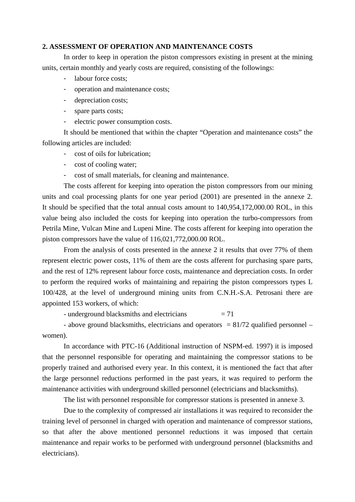#### **2. ASSESSMENT OF OPERATION AND MAINTENANCE COSTS**

In order to keep in operation the piston compressors existing in present at the mining units, certain monthly and yearly costs are required, consisting of the followings:

- labour force costs;
- operation and maintenance costs;
- depreciation costs;
- spare parts costs;
- electric power consumption costs.

 It should be mentioned that within the chapter "Operation and maintenance costs" the following articles are included:

- cost of oils for lubrication;
- cost of cooling water;
- cost of small materials, for cleaning and maintenance.

 The costs afferent for keeping into operation the piston compressors from our mining units and coal processing plants for one year period (2001) are presented in the annexe 2. It should be specified that the total annual costs amount to 140,954,172,000.00 ROL, in this value being also included the costs for keeping into operation the turbo-compressors from Petrila Mine, Vulcan Mine and Lupeni Mine. The costs afferent for keeping into operation the piston compressors have the value of 116,021,772,000.00 ROL.

 From the analysis of costs presented in the annexe 2 it results that over 77% of them represent electric power costs, 11% of them are the costs afferent for purchasing spare parts, and the rest of 12% represent labour force costs, maintenance and depreciation costs. In order to perform the required works of maintaining and repairing the piston compressors types L 100/428, at the level of underground mining units from C.N.H.-S.A. Petrosani there are appointed 153 workers, of which:

- underground blacksmiths and electricians  $= 71$ 

 - above ground blacksmiths, electricians and operators = 81/72 qualified personnel – women).

 In accordance with PTC-16 (Additional instruction of NSPM-ed. 1997) it is imposed that the personnel responsible for operating and maintaining the compressor stations to be properly trained and authorised every year. In this context, it is mentioned the fact that after the large personnel reductions performed in the past years, it was required to perform the maintenance activities with underground skilled personnel (electricians and blacksmiths).

The list with personnel responsible for compressor stations is presented in annexe 3.

 Due to the complexity of compressed air installations it was required to reconsider the training level of personnel in charged with operation and maintenance of compressor stations, so that after the above mentioned personnel reductions it was imposed that certain maintenance and repair works to be performed with underground personnel (blacksmiths and electricians).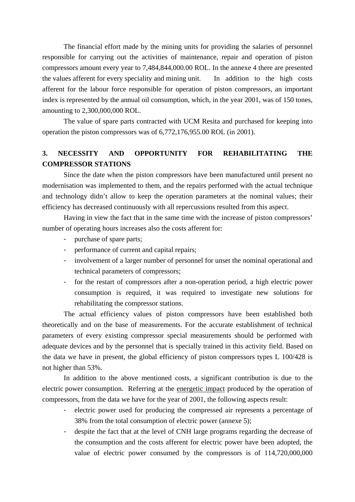The financial effort made by the mining units for providing the salaries of personnel responsible for carrying out the activities of maintenance, repair and operation of piston compressors amount every year to 7,484,844,000.00 ROL. In the annexe 4 there are presented the values afferent for every speciality and mining unit. In addition to the high costs afferent for the labour force responsible for operation of piston compressors, an important index is represented by the annual oil consumption, which, in the year 2001, was of 150 tones, amounting to 2,300,000,000 ROL.

 The value of spare parts contracted with UCM Resita and purchased for keeping into operation the piston compressors was of 6,772,176,955.00 ROL (in 2001).

## **3. NECESSITY AND OPPORTUNITY FOR REHABILITATING THE COMPRESSOR STATIONS**

Since the date when the piston compressors have been manufactured until present no modernisation was implemented to them, and the repairs performed with the actual technique and technology didn't allow to keep the operation parameters at the nominal values; their efficiency has decreased continuously with all repercussions resulted from this aspect.

 Having in view the fact that in the same time with the increase of piston compressors' number of operating hours increases also the costs afferent for:

- purchase of spare parts;
- performance of current and capital repairs;
- involvement of a larger number of personnel for unset the nominal operational and technical parameters of compressors;
- for the restart of compressors after a non-operation period, a high electric power consumption is required, it was required to investigate new solutions for rehabilitating the compressor stations.

 The actual efficiency values of piston compressors have been established both theoretically and on the base of measurements. For the accurate establishment of technical parameters of every existing compressor special measurements should be performed with adequate devices and by the personnel that is specially trained in this activity field. Based on the data we have in present, the global efficiency of piston compressors types L 100/428 is not higher than 53%.

 In addition to the above mentioned costs, a significant contribution is due to the electric power consumption. Referring at the energetic impact produced by the operation of compressors, from the data we have for the year of 2001, the following aspects result:

- electric power used for producing the compressed air represents a percentage of 38% from the total consumption of electric power (annexe 5);
- despite the fact that at the level of CNH large programs regarding the decrease of the consumption and the costs afferent for electric power have been adopted, the value of electric power consumed by the compressors is of 114,720,000,000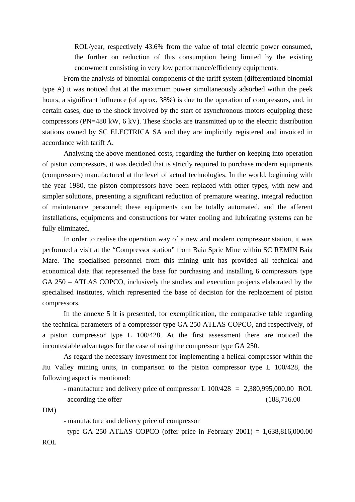ROL/year, respectively 43.6% from the value of total electric power consumed, the further on reduction of this consumption being limited by the existing endowment consisting in very low performance/efficiency equipments.

 From the analysis of binomial components of the tariff system (differentiated binomial type A) it was noticed that at the maximum power simultaneously adsorbed within the peek hours, a significant influence (of aprox. 38%) is due to the operation of compressors, and, in certain cases, due to the shock involved by the start of asynchronous motors equipping these compressors (PN=480 kW, 6 kV). These shocks are transmitted up to the electric distribution stations owned by SC ELECTRICA SA and they are implicitly registered and invoiced in accordance with tariff A.

 Analysing the above mentioned costs, regarding the further on keeping into operation of piston compressors, it was decided that is strictly required to purchase modern equipments (compressors) manufactured at the level of actual technologies. In the world, beginning with the year 1980, the piston compressors have been replaced with other types, with new and simpler solutions, presenting a significant reduction of premature wearing, integral reduction of maintenance personnel; these equipments can be totally automated, and the afferent installations, equipments and constructions for water cooling and lubricating systems can be fully eliminated.

 In order to realise the operation way of a new and modern compressor station, it was performed a visit at the "Compressor station" from Baia Sprie Mine within SC REMIN Baia Mare. The specialised personnel from this mining unit has provided all technical and economical data that represented the base for purchasing and installing 6 compressors type GA 250 – ATLAS COPCO, inclusively the studies and execution projects elaborated by the specialised institutes, which represented the base of decision for the replacement of piston compressors.

 In the annexe 5 it is presented, for exemplification, the comparative table regarding the technical parameters of a compressor type GA 250 ATLAS COPCO, and respectively, of a piston compressor type L 100/428. At the first assessment there are noticed the incontestable advantages for the case of using the compressor type GA 250.

 As regard the necessary investment for implementing a helical compressor within the Jiu Valley mining units, in comparison to the piston compressor type L 100/428, the following aspect is mentioned:

- manufacture and delivery price of compressor L  $100/428$  = 2,380,995,000.00 ROL according the offer (188,716.00)

DM)

- manufacture and delivery price of compressor

 type GA 250 ATLAS COPCO (offer price in February 2001) = 1,638,816,000.00 ROL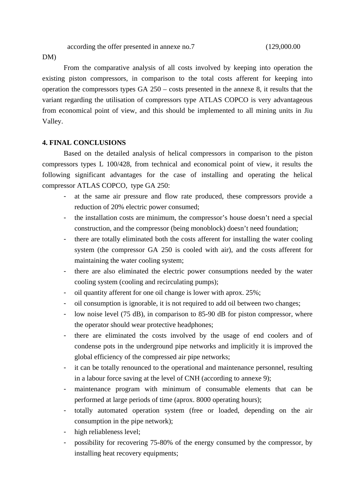according the offer presented in annexe no.7 (129,000.00

DM)

 From the comparative analysis of all costs involved by keeping into operation the existing piston compressors, in comparison to the total costs afferent for keeping into operation the compressors types GA 250 – costs presented in the annexe 8, it results that the variant regarding the utilisation of compressors type ATLAS COPCO is very advantageous from economical point of view, and this should be implemented to all mining units in Jiu Valley.

#### **4. FINAL CONCLUSIONS**

Based on the detailed analysis of helical compressors in comparison to the piston compressors types L 100/428, from technical and economical point of view, it results the following significant advantages for the case of installing and operating the helical compressor ATLAS COPCO, type GA 250:

- at the same air pressure and flow rate produced, these compressors provide a reduction of 20% electric power consumed;
- the installation costs are minimum, the compressor's house doesn't need a special construction, and the compressor (being monoblock) doesn't need foundation;
- there are totally eliminated both the costs afferent for installing the water cooling system (the compressor GA 250 is cooled with air), and the costs afferent for maintaining the water cooling system;
- there are also eliminated the electric power consumptions needed by the water cooling system (cooling and recirculating pumps);
- oil quantity afferent for one oil change is lower with aprox. 25%;
- oil consumption is ignorable, it is not required to add oil between two changes;
- low noise level (75 dB), in comparison to 85-90 dB for piston compressor, where the operator should wear protective headphones;
- there are eliminated the costs involved by the usage of end coolers and of condense pots in the underground pipe networks and implicitly it is improved the global efficiency of the compressed air pipe networks;
- it can be totally renounced to the operational and maintenance personnel, resulting in a labour force saving at the level of CNH (according to annexe 9);
- maintenance program with minimum of consumable elements that can be performed at large periods of time (aprox. 8000 operating hours);
- totally automated operation system (free or loaded, depending on the air consumption in the pipe network);
- high reliableness level;
- possibility for recovering 75-80% of the energy consumed by the compressor, by installing heat recovery equipments;